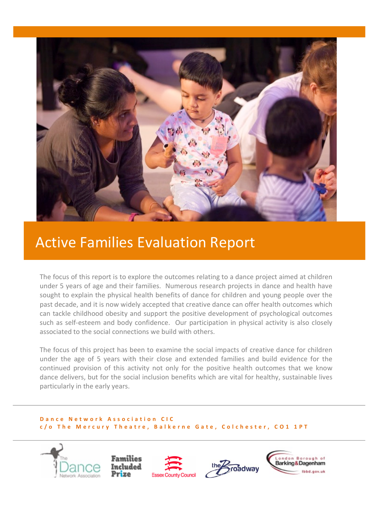

# **Active Families Evaluation Report**

The focus of this report is to explore the outcomes relating to a dance project aimed at children under 5 years of age and their families. Numerous research projects in dance and health have sought to explain the physical health benefits of dance for children and young people over the past decade, and it is now widely accepted that creative dance can offer health outcomes which can tackle childhood obesity and support the positive development of psychological outcomes such as self-esteem and body confidence. Our participation in physical activity is also closely associated to the social connections we build with others.

The focus of this project has been to examine the social impacts of creative dance for children under the age of 5 years with their close and extended families and build evidence for the continued provision of this activity not only for the positive health outcomes that we know dance delivers, but for the social inclusion benefits which are vital for healthy, sustainable lives particularly in the early years.

#### **Dance Network Association CIC c /o The Mercury Theatre, Balkerne Gate, Colchester, CO1 1PT**

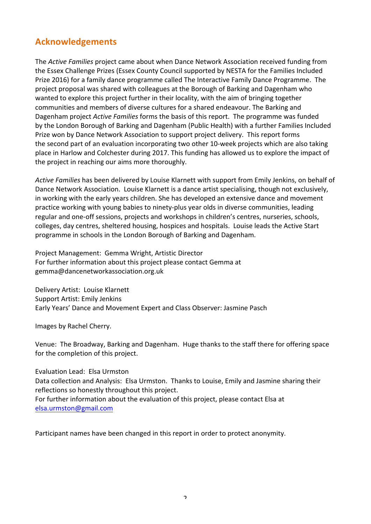# **Acknowledgements**

The *Active Families* project came about when Dance Network Association received funding from the Essex Challenge Prizes (Essex County Council supported by NESTA for the Families Included Prize 2016) for a family dance programme called The Interactive Family Dance Programme. The project proposal was shared with colleagues at the Borough of Barking and Dagenham who wanted to explore this project further in their locality, with the aim of bringing together communities and members of diverse cultures for a shared endeavour. The Barking and Dagenham project *Active Families* forms the basis of this report. The programme was funded by the London Borough of Barking and Dagenham (Public Health) with a further Families Included Prize won by Dance Network Association to support project delivery. This report forms the second part of an evaluation incorporating two other 10-week projects which are also taking place in Harlow and Colchester during 2017. This funding has allowed us to explore the impact of the project in reaching our aims more thoroughly.

Active Families has been delivered by Louise Klarnett with support from Emily Jenkins, on behalf of Dance Network Association. Louise Klarnett is a dance artist specialising, though not exclusively, in working with the early years children. She has developed an extensive dance and movement practice working with young babies to ninety-plus year olds in diverse communities, leading regular and one-off sessions, projects and workshops in children's centres, nurseries, schools, colleges, day centres, sheltered housing, hospices and hospitals. Louise leads the Active Start programme in schools in the London Borough of Barking and Dagenham.

Project Management: Gemma Wright, Artistic Director For further information about this project please contact Gemma at gemma@dancenetworkassociation.org.uk

Delivery Artist: Louise Klarnett Support Artist: Emily Jenkins Early Years' Dance and Movement Expert and Class Observer: Jasmine Pasch

Images by Rachel Cherry.

Venue: The Broadway, Barking and Dagenham. Huge thanks to the staff there for offering space for the completion of this project.

Evaluation Lead: Elsa Urmston

Data collection and Analysis: Elsa Urmston. Thanks to Louise, Emily and Jasmine sharing their reflections so honestly throughout this project. For further information about the evaluation of this project, please contact Elsa at elsa.urmston@gmail.com

Participant names have been changed in this report in order to protect anonymity.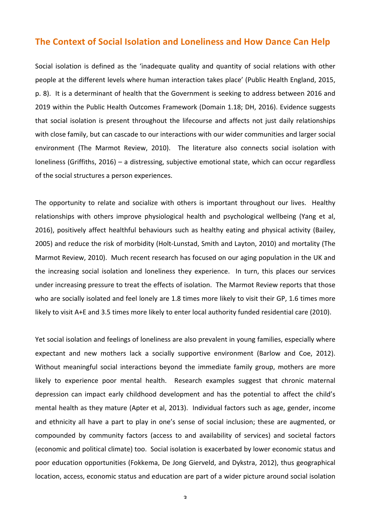# **The Context of Social Isolation and Loneliness and How Dance Can Help**

Social isolation is defined as the 'inadequate quality and quantity of social relations with other people at the different levels where human interaction takes place' (Public Health England, 2015, p. 8). It is a determinant of health that the Government is seeking to address between 2016 and 2019 within the Public Health Outcomes Framework (Domain 1.18; DH, 2016). Evidence suggests that social isolation is present throughout the lifecourse and affects not just daily relationships with close family, but can cascade to our interactions with our wider communities and larger social environment (The Marmot Review, 2010). The literature also connects social isolation with loneliness (Griffiths, 2016) – a distressing, subjective emotional state, which can occur regardless of the social structures a person experiences.

The opportunity to relate and socialize with others is important throughout our lives. Healthy relationships with others improve physiological health and psychological wellbeing (Yang et al, 2016), positively affect healthful behaviours such as healthy eating and physical activity (Bailey, 2005) and reduce the risk of morbidity (Holt-Lunstad, Smith and Layton, 2010) and mortality (The Marmot Review, 2010). Much recent research has focused on our aging population in the UK and the increasing social isolation and loneliness they experience. In turn, this places our services under increasing pressure to treat the effects of isolation. The Marmot Review reports that those who are socially isolated and feel lonely are 1.8 times more likely to visit their GP, 1.6 times more likely to visit A+E and 3.5 times more likely to enter local authority funded residential care (2010).

Yet social isolation and feelings of loneliness are also prevalent in young families, especially where expectant and new mothers lack a socially supportive environment (Barlow and Coe, 2012). Without meaningful social interactions beyond the immediate family group, mothers are more likely to experience poor mental health. Research examples suggest that chronic maternal depression can impact early childhood development and has the potential to affect the child's mental health as they mature (Apter et al, 2013). Individual factors such as age, gender, income and ethnicity all have a part to play in one's sense of social inclusion; these are augmented, or compounded by community factors (access to and availability of services) and societal factors (economic and political climate) too. Social isolation is exacerbated by lower economic status and poor education opportunities (Fokkema, De Jong Gierveld, and Dykstra, 2012), thus geographical location, access, economic status and education are part of a wider picture around social isolation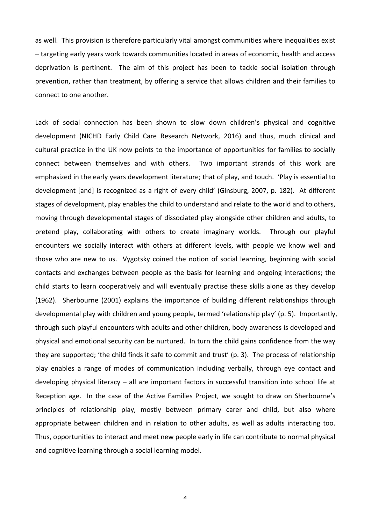as well. This provision is therefore particularly vital amongst communities where inequalities exist  $-$  targeting early years work towards communities located in areas of economic, health and access deprivation is pertinent. The aim of this project has been to tackle social isolation through prevention, rather than treatment, by offering a service that allows children and their families to connect to one another.

Lack of social connection has been shown to slow down children's physical and cognitive development (NICHD Early Child Care Research Network, 2016) and thus, much clinical and cultural practice in the UK now points to the importance of opportunities for families to socially connect between themselves and with others. Two important strands of this work are emphasized in the early years development literature; that of play, and touch. 'Play is essential to development [and] is recognized as a right of every child' (Ginsburg, 2007, p. 182). At different stages of development, play enables the child to understand and relate to the world and to others, moving through developmental stages of dissociated play alongside other children and adults, to pretend play, collaborating with others to create imaginary worlds. Through our playful encounters we socially interact with others at different levels, with people we know well and those who are new to us. Vygotsky coined the notion of social learning, beginning with social contacts and exchanges between people as the basis for learning and ongoing interactions; the child starts to learn cooperatively and will eventually practise these skills alone as they develop (1962). Sherbourne (2001) explains the importance of building different relationships through developmental play with children and young people, termed 'relationship play' (p. 5). Importantly, through such playful encounters with adults and other children, body awareness is developed and physical and emotional security can be nurtured. In turn the child gains confidence from the way they are supported; 'the child finds it safe to commit and trust' (p. 3). The process of relationship play enables a range of modes of communication including verbally, through eye contact and developing physical literacy  $-$  all are important factors in successful transition into school life at Reception age. In the case of the Active Families Project, we sought to draw on Sherbourne's principles of relationship play, mostly between primary carer and child, but also where appropriate between children and in relation to other adults, as well as adults interacting too. Thus, opportunities to interact and meet new people early in life can contribute to normal physical and cognitive learning through a social learning model.

 $\Lambda$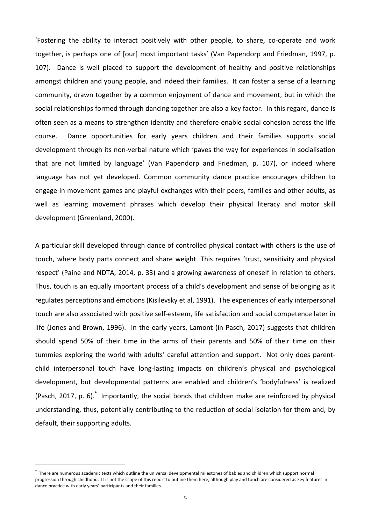'Fostering the ability to interact positively with other people, to share, co-operate and work together, is perhaps one of [our] most important tasks' (Van Papendorp and Friedman, 1997, p. 107). Dance is well placed to support the development of healthy and positive relationships amongst children and young people, and indeed their families. It can foster a sense of a learning community, drawn together by a common enjoyment of dance and movement, but in which the social relationships formed through dancing together are also a key factor. In this regard, dance is often seen as a means to strengthen identity and therefore enable social cohesion across the life course. Dance opportunities for early years children and their families supports social development through its non-verbal nature which 'paves the way for experiences in socialisation that are not limited by language' (Van Papendorp and Friedman, p. 107), or indeed where language has not yet developed. Common community dance practice encourages children to engage in movement games and playful exchanges with their peers, families and other adults, as well as learning movement phrases which develop their physical literacy and motor skill development (Greenland, 2000). 

A particular skill developed through dance of controlled physical contact with others is the use of touch, where body parts connect and share weight. This requires 'trust, sensitivity and physical respect' (Paine and NDTA, 2014, p. 33) and a growing awareness of oneself in relation to others. Thus, touch is an equally important process of a child's development and sense of belonging as it regulates perceptions and emotions (Kisilevsky et al, 1991). The experiences of early interpersonal touch are also associated with positive self-esteem, life satisfaction and social competence later in life (Jones and Brown, 1996). In the early years, Lamont (in Pasch, 2017) suggests that children should spend 50% of their time in the arms of their parents and 50% of their time on their tummies exploring the world with adults' careful attention and support. Not only does parentchild interpersonal touch have long-lasting impacts on children's physical and psychological development, but developmental patterns are enabled and children's 'bodyfulness' is realized (Pasch, 2017, p. 6).\* Importantly, the social bonds that children make are reinforced by physical understanding, thus, potentially contributing to the reduction of social isolation for them and, by default, their supporting adults.

 

There are numerous academic texts which outline the universal developmental milestones of babies and children which support normal progression through childhood. It is not the scope of this report to outline them here, although play and touch are considered as key features in dance practice with early years' participants and their families.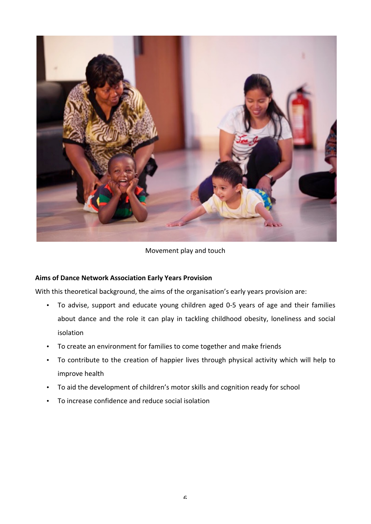

Movement play and touch

# **Aims of Dance Network Association Early Years Provision**

With this theoretical background, the aims of the organisation's early years provision are:

- To advise, support and educate young children aged 0-5 years of age and their families about dance and the role it can play in tackling childhood obesity, loneliness and social isolation
- To create an environment for families to come together and make friends
- To contribute to the creation of happier lives through physical activity which will help to improve health
- To aid the development of children's motor skills and cognition ready for school
- To increase confidence and reduce social isolation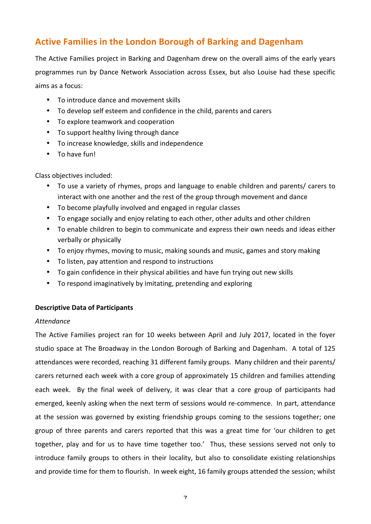# **Active Families in the London Borough of Barking and Dagenham**

The Active Families project in Barking and Dagenham drew on the overall aims of the early years programmes run by Dance Network Association across Essex, but also Louise had these specific aims as a focus:

- To introduce dance and movement skills
- To develop self esteem and confidence in the child, parents and carers
- To explore teamwork and cooperation
- To support healthy living through dance
- To increase knowledge, skills and independence
- To have fun!

Class objectives included:

- To use a variety of rhymes, props and language to enable children and parents/ carers to interact with one another and the rest of the group through movement and dance
- To become playfully involved and engaged in regular classes
- To engage socially and enjoy relating to each other, other adults and other children
- To enable children to begin to communicate and express their own needs and ideas either verbally or physically
- To enjoy rhymes, moving to music, making sounds and music, games and story making
- To listen, pay attention and respond to instructions
- To gain confidence in their physical abilities and have fun trying out new skills
- To respond imaginatively by imitating, pretending and exploring

### **Descriptive Data of Participants**

### *Attendance*

The Active Families project ran for 10 weeks between April and July 2017, located in the foyer studio space at The Broadway in the London Borough of Barking and Dagenham. A total of 125 attendances were recorded, reaching 31 different family groups. Many children and their parents/ carers returned each week with a core group of approximately 15 children and families attending each week. By the final week of delivery, it was clear that a core group of participants had emerged, keenly asking when the next term of sessions would re-commence. In part, attendance at the session was governed by existing friendship groups coming to the sessions together; one group of three parents and carers reported that this was a great time for 'our children to get together, play and for us to have time together too.' Thus, these sessions served not only to introduce family groups to others in their locality, but also to consolidate existing relationships and provide time for them to flourish. In week eight, 16 family groups attended the session; whilst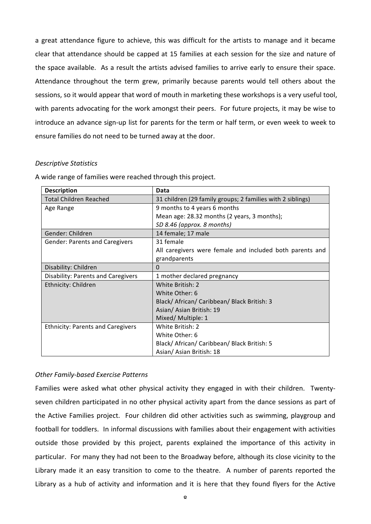a great attendance figure to achieve, this was difficult for the artists to manage and it became clear that attendance should be capped at 15 families at each session for the size and nature of the space available. As a result the artists advised families to arrive early to ensure their space. Attendance throughout the term grew, primarily because parents would tell others about the sessions, so it would appear that word of mouth in marketing these workshops is a very useful tool, with parents advocating for the work amongst their peers. For future projects, it may be wise to introduce an advance sign-up list for parents for the term or half term, or even week to week to ensure families do not need to be turned away at the door.

#### *Descriptive Statistics*

| <b>Description</b>                       | Data                                                       |
|------------------------------------------|------------------------------------------------------------|
| <b>Total Children Reached</b>            | 31 children (29 family groups; 2 families with 2 siblings) |
| Age Range                                | 9 months to 4 years 6 months                               |
|                                          | Mean age: 28.32 months (2 years, 3 months);                |
|                                          | SD 8.46 (approx. 8 months)                                 |
| Gender: Children                         | 14 female; 17 male                                         |
| <b>Gender: Parents and Caregivers</b>    | 31 female                                                  |
|                                          | All caregivers were female and included both parents and   |
|                                          | grandparents                                               |
| Disability: Children                     | 0                                                          |
| Disability: Parents and Caregivers       | 1 mother declared pregnancy                                |
| Ethnicity: Children                      | White British: 2                                           |
|                                          | White Other: 6                                             |
|                                          | Black/ African/ Caribbean/ Black British: 3                |
|                                          | Asian/Asian British: 19                                    |
|                                          | Mixed/ Multiple: 1                                         |
| <b>Ethnicity: Parents and Caregivers</b> | White British: 2                                           |
|                                          | White Other: 6                                             |
|                                          | Black/ African/ Caribbean/ Black British: 5                |
|                                          | Asian/ Asian British: 18                                   |

A wide range of families were reached through this project.

# *Other Family-based Exercise Patterns*

Families were asked what other physical activity they engaged in with their children. Twentyseven children participated in no other physical activity apart from the dance sessions as part of the Active Families project. Four children did other activities such as swimming, playgroup and football for toddlers. In informal discussions with families about their engagement with activities outside those provided by this project, parents explained the importance of this activity in particular. For many they had not been to the Broadway before, although its close vicinity to the Library made it an easy transition to come to the theatre. A number of parents reported the Library as a hub of activity and information and it is here that they found flyers for the Active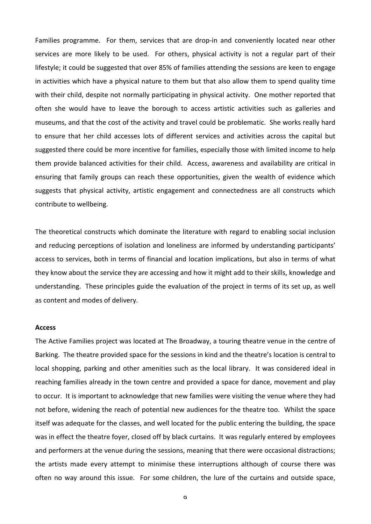Families programme. For them, services that are drop-in and conveniently located near other services are more likely to be used. For others, physical activity is not a regular part of their lifestyle; it could be suggested that over 85% of families attending the sessions are keen to engage in activities which have a physical nature to them but that also allow them to spend quality time with their child, despite not normally participating in physical activity. One mother reported that often she would have to leave the borough to access artistic activities such as galleries and museums, and that the cost of the activity and travel could be problematic. She works really hard to ensure that her child accesses lots of different services and activities across the capital but suggested there could be more incentive for families, especially those with limited income to help them provide balanced activities for their child. Access, awareness and availability are critical in ensuring that family groups can reach these opportunities, given the wealth of evidence which suggests that physical activity, artistic engagement and connectedness are all constructs which contribute to wellbeing.

The theoretical constructs which dominate the literature with regard to enabling social inclusion and reducing perceptions of isolation and loneliness are informed by understanding participants' access to services, both in terms of financial and location implications, but also in terms of what they know about the service they are accessing and how it might add to their skills, knowledge and understanding. These principles guide the evaluation of the project in terms of its set up, as well as content and modes of delivery.

#### **Access**

The Active Families project was located at The Broadway, a touring theatre venue in the centre of Barking. The theatre provided space for the sessions in kind and the theatre's location is central to local shopping, parking and other amenities such as the local library. It was considered ideal in reaching families already in the town centre and provided a space for dance, movement and play to occur. It is important to acknowledge that new families were visiting the venue where they had not before, widening the reach of potential new audiences for the theatre too. Whilst the space itself was adequate for the classes, and well located for the public entering the building, the space was in effect the theatre foyer, closed off by black curtains. It was regularly entered by employees and performers at the venue during the sessions, meaning that there were occasional distractions; the artists made every attempt to minimise these interruptions although of course there was often no way around this issue. For some children, the lure of the curtains and outside space,

 $\alpha$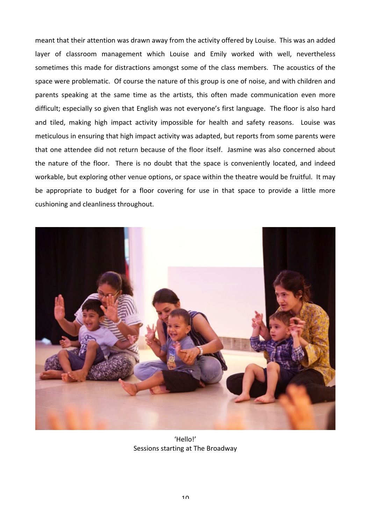meant that their attention was drawn away from the activity offered by Louise. This was an added layer of classroom management which Louise and Emily worked with well, nevertheless sometimes this made for distractions amongst some of the class members. The acoustics of the space were problematic. Of course the nature of this group is one of noise, and with children and parents speaking at the same time as the artists, this often made communication even more difficult; especially so given that English was not everyone's first language. The floor is also hard and tiled, making high impact activity impossible for health and safety reasons. Louise was meticulous in ensuring that high impact activity was adapted, but reports from some parents were that one attendee did not return because of the floor itself. Jasmine was also concerned about the nature of the floor. There is no doubt that the space is conveniently located, and indeed workable, but exploring other venue options, or space within the theatre would be fruitful. It may be appropriate to budget for a floor covering for use in that space to provide a little more cushioning and cleanliness throughout.



'Hello!' Sessions starting at The Broadway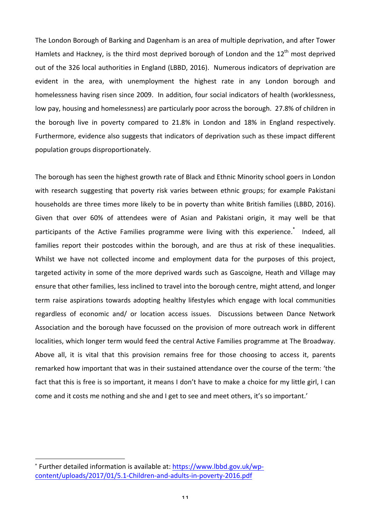The London Borough of Barking and Dagenham is an area of multiple deprivation, and after Tower Hamlets and Hackney, is the third most deprived borough of London and the  $12<sup>th</sup>$  most deprived out of the 326 local authorities in England (LBBD, 2016). Numerous indicators of deprivation are evident in the area, with unemployment the highest rate in any London borough and homelessness having risen since 2009. In addition, four social indicators of health (worklessness, low pay, housing and homelessness) are particularly poor across the borough. 27.8% of children in the borough live in poverty compared to 21.8% in London and 18% in England respectively. Furthermore, evidence also suggests that indicators of deprivation such as these impact different population groups disproportionately.

The borough has seen the highest growth rate of Black and Ethnic Minority school goers in London with research suggesting that poverty risk varies between ethnic groups; for example Pakistani households are three times more likely to be in poverty than white British families (LBBD, 2016). Given that over 60% of attendees were of Asian and Pakistani origin, it may well be that participants of the Active Families programme were living with this experience.<sup>\*</sup> Indeed, all families report their postcodes within the borough, and are thus at risk of these inequalities. Whilst we have not collected income and employment data for the purposes of this project, targeted activity in some of the more deprived wards such as Gascoigne, Heath and Village may ensure that other families, less inclined to travel into the borough centre, might attend, and longer term raise aspirations towards adopting healthy lifestyles which engage with local communities regardless of economic and/ or location access issues. Discussions between Dance Network Association and the borough have focussed on the provision of more outreach work in different localities, which longer term would feed the central Active Families programme at The Broadway. Above all, it is vital that this provision remains free for those choosing to access it, parents remarked how important that was in their sustained attendance over the course of the term: 'the fact that this is free is so important, it means I don't have to make a choice for my little girl, I can come and it costs me nothing and she and I get to see and meet others, it's so important.'

 

<sup>\*</sup> Further detailed information is available at: https://www.lbbd.gov.uk/wpcontent/uploads/2017/01/5.1-Children-and-adults-in-poverty-2016.pdf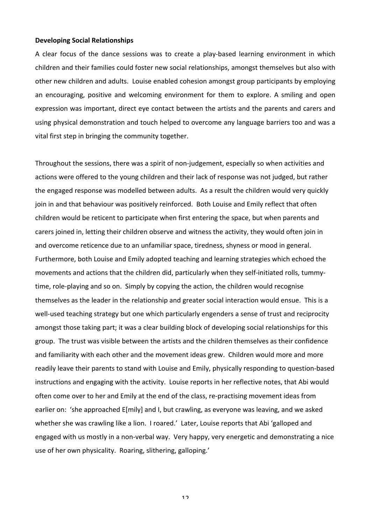#### **Developing Social Relationships**

A clear focus of the dance sessions was to create a play-based learning environment in which children and their families could foster new social relationships, amongst themselves but also with other new children and adults. Louise enabled cohesion amongst group participants by employing an encouraging, positive and welcoming environment for them to explore. A smiling and open expression was important, direct eye contact between the artists and the parents and carers and using physical demonstration and touch helped to overcome any language barriers too and was a vital first step in bringing the community together.

Throughout the sessions, there was a spirit of non-judgement, especially so when activities and actions were offered to the young children and their lack of response was not judged, but rather the engaged response was modelled between adults. As a result the children would very quickly join in and that behaviour was positively reinforced. Both Louise and Emily reflect that often children would be reticent to participate when first entering the space, but when parents and carers joined in, letting their children observe and witness the activity, they would often join in and overcome reticence due to an unfamiliar space, tiredness, shyness or mood in general. Furthermore, both Louise and Emily adopted teaching and learning strategies which echoed the movements and actions that the children did, particularly when they self-initiated rolls, tummytime, role-playing and so on. Simply by copying the action, the children would recognise themselves as the leader in the relationship and greater social interaction would ensue. This is a well-used teaching strategy but one which particularly engenders a sense of trust and reciprocity amongst those taking part; it was a clear building block of developing social relationships for this group. The trust was visible between the artists and the children themselves as their confidence and familiarity with each other and the movement ideas grew. Children would more and more readily leave their parents to stand with Louise and Emily, physically responding to question-based instructions and engaging with the activity. Louise reports in her reflective notes, that Abi would often come over to her and Emily at the end of the class, re-practising movement ideas from earlier on: 'she approached E[mily] and I, but crawling, as everyone was leaving, and we asked whether she was crawling like a lion. I roared.' Later, Louise reports that Abi 'galloped and engaged with us mostly in a non-verbal way. Very happy, very energetic and demonstrating a nice use of her own physicality. Roaring, slithering, galloping.'

12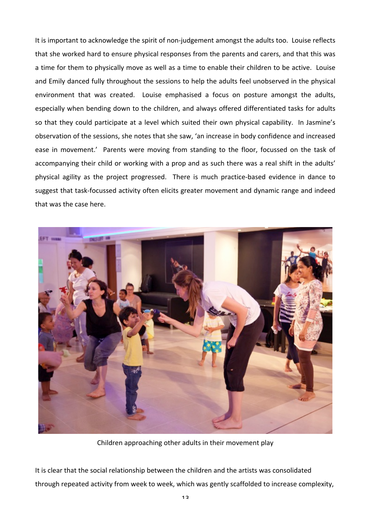It is important to acknowledge the spirit of non-judgement amongst the adults too. Louise reflects that she worked hard to ensure physical responses from the parents and carers, and that this was a time for them to physically move as well as a time to enable their children to be active. Louise and Emily danced fully throughout the sessions to help the adults feel unobserved in the physical environment that was created. Louise emphasised a focus on posture amongst the adults, especially when bending down to the children, and always offered differentiated tasks for adults so that they could participate at a level which suited their own physical capability. In Jasmine's observation of the sessions, she notes that she saw, 'an increase in body confidence and increased ease in movement.' Parents were moving from standing to the floor, focussed on the task of accompanying their child or working with a prop and as such there was a real shift in the adults' physical agility as the project progressed. There is much practice-based evidence in dance to suggest that task-focussed activity often elicits greater movement and dynamic range and indeed that was the case here.



Children approaching other adults in their movement play

It is clear that the social relationship between the children and the artists was consolidated through repeated activity from week to week, which was gently scaffolded to increase complexity,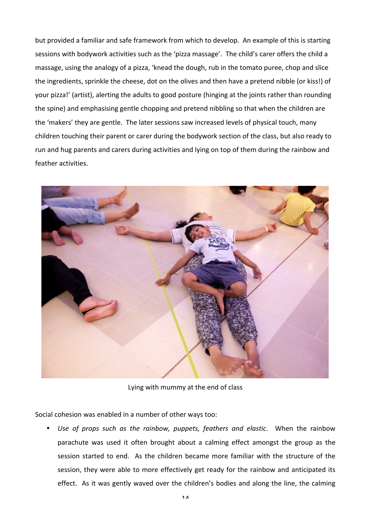but provided a familiar and safe framework from which to develop. An example of this is starting sessions with bodywork activities such as the 'pizza massage'. The child's carer offers the child a massage, using the analogy of a pizza, 'knead the dough, rub in the tomato puree, chop and slice the ingredients, sprinkle the cheese, dot on the olives and then have a pretend nibble (or kiss!) of your pizza!' (artist), alerting the adults to good posture (hinging at the joints rather than rounding the spine) and emphasising gentle chopping and pretend nibbling so that when the children are the 'makers' they are gentle. The later sessions saw increased levels of physical touch, many children touching their parent or carer during the bodywork section of the class, but also ready to run and hug parents and carers during activities and lying on top of them during the rainbow and feather activities.



Lying with mummy at the end of class

Social cohesion was enabled in a number of other ways too:

Use of props such as the rainbow, puppets, feathers and elastic. When the rainbow parachute was used it often brought about a calming effect amongst the group as the session started to end. As the children became more familiar with the structure of the session, they were able to more effectively get ready for the rainbow and anticipated its effect. As it was gently waved over the children's bodies and along the line, the calming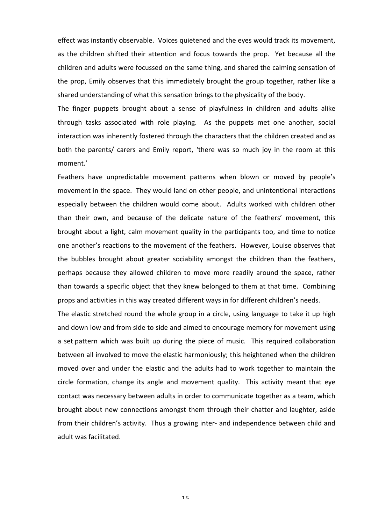effect was instantly observable. Voices quietened and the eyes would track its movement, as the children shifted their attention and focus towards the prop. Yet because all the children and adults were focussed on the same thing, and shared the calming sensation of the prop, Emily observes that this immediately brought the group together, rather like a shared understanding of what this sensation brings to the physicality of the body.

The finger puppets brought about a sense of playfulness in children and adults alike through tasks associated with role playing. As the puppets met one another, social interaction was inherently fostered through the characters that the children created and as both the parents/ carers and Emily report, 'there was so much joy in the room at this moment.' 

Feathers have unpredictable movement patterns when blown or moved by people's movement in the space. They would land on other people, and unintentional interactions especially between the children would come about. Adults worked with children other than their own, and because of the delicate nature of the feathers' movement, this brought about a light, calm movement quality in the participants too, and time to notice one another's reactions to the movement of the feathers. However, Louise observes that the bubbles brought about greater sociability amongst the children than the feathers, perhaps because they allowed children to move more readily around the space, rather than towards a specific object that they knew belonged to them at that time. Combining props and activities in this way created different ways in for different children's needs.

The elastic stretched round the whole group in a circle, using language to take it up high and down low and from side to side and aimed to encourage memory for movement using a set pattern which was built up during the piece of music. This required collaboration between all involved to move the elastic harmoniously; this heightened when the children moved over and under the elastic and the adults had to work together to maintain the circle formation, change its angle and movement quality. This activity meant that eye contact was necessary between adults in order to communicate together as a team, which brought about new connections amongst them through their chatter and laughter, aside from their children's activity. Thus a growing inter- and independence between child and adult was facilitated.

15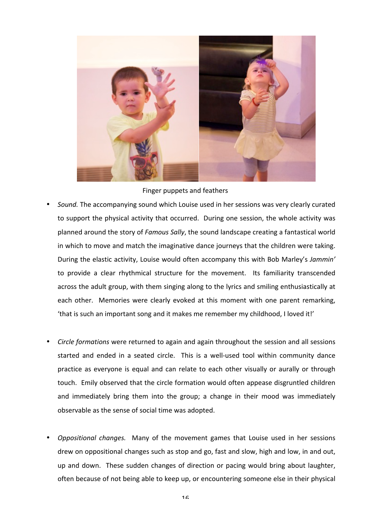

Finger puppets and feathers

- Sound. The accompanying sound which Louise used in her sessions was very clearly curated to support the physical activity that occurred. During one session, the whole activity was planned around the story of *Famous Sally*, the sound landscape creating a fantastical world in which to move and match the imaginative dance journeys that the children were taking. During the elastic activity, Louise would often accompany this with Bob Marley's Jammin' to provide a clear rhythmical structure for the movement. Its familiarity transcended across the adult group, with them singing along to the lyrics and smiling enthusiastically at each other. Memories were clearly evoked at this moment with one parent remarking, 'that is such an important song and it makes me remember my childhood, I loved it!'
- *Circle formations* were returned to again and again throughout the session and all sessions started and ended in a seated circle. This is a well-used tool within community dance practice as everyone is equal and can relate to each other visually or aurally or through touch. Emily observed that the circle formation would often appease disgruntled children and immediately bring them into the group; a change in their mood was immediately observable as the sense of social time was adopted.
- *Oppositional changes.* Many of the movement games that Louise used in her sessions drew on oppositional changes such as stop and go, fast and slow, high and low, in and out, up and down. These sudden changes of direction or pacing would bring about laughter, often because of not being able to keep up, or encountering someone else in their physical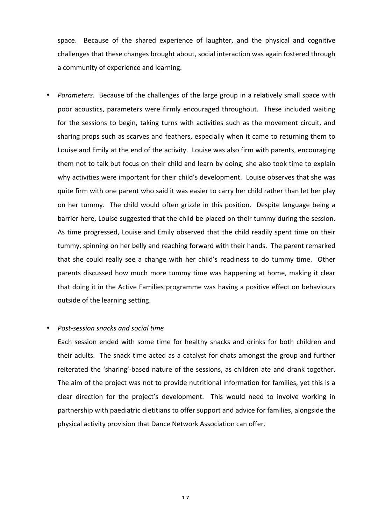space. Because of the shared experience of laughter, and the physical and cognitive challenges that these changes brought about, social interaction was again fostered through a community of experience and learning.

• *Parameters*. Because of the challenges of the large group in a relatively small space with poor acoustics, parameters were firmly encouraged throughout. These included waiting for the sessions to begin, taking turns with activities such as the movement circuit, and sharing props such as scarves and feathers, especially when it came to returning them to Louise and Emily at the end of the activity. Louise was also firm with parents, encouraging them not to talk but focus on their child and learn by doing; she also took time to explain why activities were important for their child's development. Louise observes that she was quite firm with one parent who said it was easier to carry her child rather than let her play on her tummy. The child would often grizzle in this position. Despite language being a barrier here, Louise suggested that the child be placed on their tummy during the session. As time progressed, Louise and Emily observed that the child readily spent time on their tummy, spinning on her belly and reaching forward with their hands. The parent remarked that she could really see a change with her child's readiness to do tummy time. Other parents discussed how much more tummy time was happening at home, making it clear that doing it in the Active Families programme was having a positive effect on behaviours outside of the learning setting.

#### • *Post-session snacks and social time*

Each session ended with some time for healthy snacks and drinks for both children and their adults. The snack time acted as a catalyst for chats amongst the group and further reiterated the 'sharing'-based nature of the sessions, as children ate and drank together. The aim of the project was not to provide nutritional information for families, yet this is a clear direction for the project's development. This would need to involve working in partnership with paediatric dietitians to offer support and advice for families, alongside the physical activity provision that Dance Network Association can offer.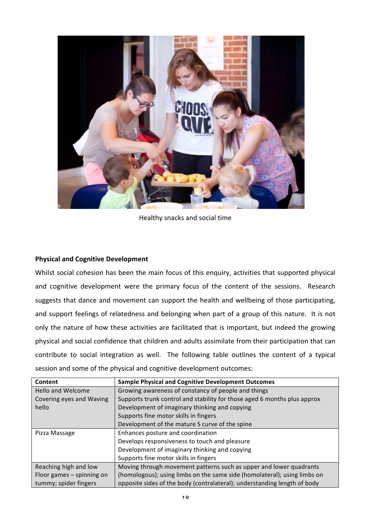

Healthy snacks and social time

## **Physical and Cognitive Development**

Whilst social cohesion has been the main focus of this enquiry, activities that supported physical and cognitive development were the primary focus of the content of the sessions. Research suggests that dance and movement can support the health and wellbeing of those participating, and support feelings of relatedness and belonging when part of a group of this nature. It is not only the nature of how these activities are facilitated that is important, but indeed the growing physical and social confidence that children and adults assimilate from their participation that can contribute to social integration as well. The following table outlines the content of a typical session and some of the physical and cognitive development outcomes:

| Content                   | <b>Sample Physical and Cognitive Development Outcomes</b>                |
|---------------------------|--------------------------------------------------------------------------|
| <b>Hello and Welcome</b>  | Growing awareness of constancy of people and things                      |
| Covering eyes and Waving  | Supports trunk control and stability for those aged 6 months plus approx |
| hello                     | Development of imaginary thinking and copying                            |
|                           | Supports fine motor skills in fingers                                    |
|                           | Development of the mature S curve of the spine                           |
| Pizza Massage             | Enhances posture and coordination                                        |
|                           | Develops responsiveness to touch and pleasure                            |
|                           | Development of imaginary thinking and copying                            |
|                           | Supports fine motor skills in fingers                                    |
| Reaching high and low     | Moving through movement patterns such as upper and lower quadrants       |
| Floor games - spinning on | (homologous); using limbs on the same side (homolateral); using limbs on |
| tummy; spider fingers     | opposite sides of the body (contralateral); understanding length of body |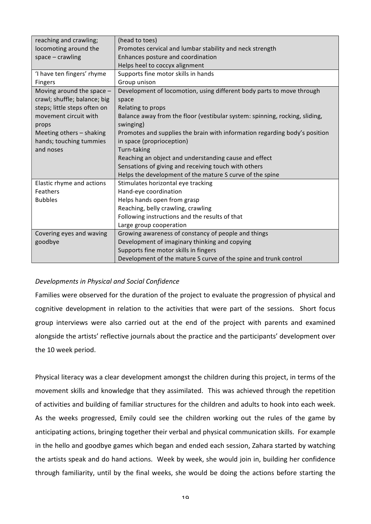| reaching and crawling;       | (head to toes)                                                              |
|------------------------------|-----------------------------------------------------------------------------|
| locomoting around the        | Promotes cervical and lumbar stability and neck strength                    |
| $space - c$ rawling          | Enhances posture and coordination                                           |
|                              | Helps heel to coccyx alignment                                              |
| 'I have ten fingers' rhyme   | Supports fine motor skills in hands                                         |
| Fingers                      | Group unison                                                                |
| Moving around the space $-$  | Development of locomotion, using different body parts to move through       |
| crawl; shuffle; balance; big | space                                                                       |
| steps; little steps often on | Relating to props                                                           |
| movement circuit with        | Balance away from the floor (vestibular system: spinning, rocking, sliding, |
| props                        | swinging)                                                                   |
| Meeting others - shaking     | Promotes and supplies the brain with information regarding body's position  |
| hands; touching tummies      | in space (proprioception)                                                   |
| and noses                    | Turn-taking                                                                 |
|                              | Reaching an object and understanding cause and effect                       |
|                              | Sensations of giving and receiving touch with others                        |
|                              | Helps the development of the mature S curve of the spine                    |
| Elastic rhyme and actions    | Stimulates horizontal eye tracking                                          |
| Feathers                     | Hand-eye coordination                                                       |
| <b>Bubbles</b>               | Helps hands open from grasp                                                 |
|                              | Reaching, belly crawling, crawling                                          |
|                              | Following instructions and the results of that                              |
|                              | Large group cooperation                                                     |
| Covering eyes and waving     | Growing awareness of constancy of people and things                         |
| goodbye                      | Development of imaginary thinking and copying                               |
|                              | Supports fine motor skills in fingers                                       |
|                              | Development of the mature S curve of the spine and trunk control            |

### **Developments in Physical and Social Confidence**

Families were observed for the duration of the project to evaluate the progression of physical and cognitive development in relation to the activities that were part of the sessions. Short focus group interviews were also carried out at the end of the project with parents and examined alongside the artists' reflective journals about the practice and the participants' development over the 10 week period.

Physical literacy was a clear development amongst the children during this project, in terms of the movement skills and knowledge that they assimilated. This was achieved through the repetition of activities and building of familiar structures for the children and adults to hook into each week. As the weeks progressed, Emily could see the children working out the rules of the game by anticipating actions, bringing together their verbal and physical communication skills. For example in the hello and goodbye games which began and ended each session, Zahara started by watching the artists speak and do hand actions. Week by week, she would join in, building her confidence through familiarity, until by the final weeks, she would be doing the actions before starting the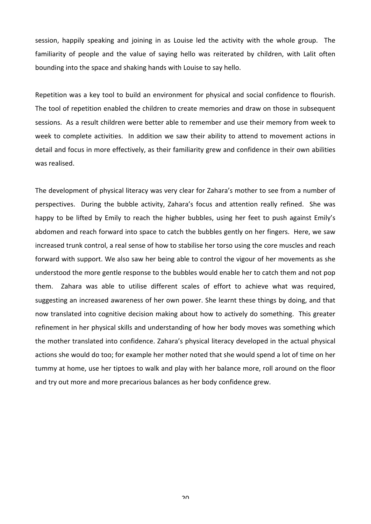session, happily speaking and joining in as Louise led the activity with the whole group. The familiarity of people and the value of saying hello was reiterated by children, with Lalit often bounding into the space and shaking hands with Louise to say hello.

Repetition was a key tool to build an environment for physical and social confidence to flourish. The tool of repetition enabled the children to create memories and draw on those in subsequent sessions. As a result children were better able to remember and use their memory from week to week to complete activities. In addition we saw their ability to attend to movement actions in detail and focus in more effectively, as their familiarity grew and confidence in their own abilities was realised.

The development of physical literacy was very clear for Zahara's mother to see from a number of perspectives. During the bubble activity, Zahara's focus and attention really refined. She was happy to be lifted by Emily to reach the higher bubbles, using her feet to push against Emily's abdomen and reach forward into space to catch the bubbles gently on her fingers. Here, we saw increased trunk control, a real sense of how to stabilise her torso using the core muscles and reach forward with support. We also saw her being able to control the vigour of her movements as she understood the more gentle response to the bubbles would enable her to catch them and not pop them. Zahara was able to utilise different scales of effort to achieve what was required, suggesting an increased awareness of her own power. She learnt these things by doing, and that now translated into cognitive decision making about how to actively do something. This greater refinement in her physical skills and understanding of how her body moves was something which the mother translated into confidence. Zahara's physical literacy developed in the actual physical actions she would do too; for example her mother noted that she would spend a lot of time on her tummy at home, use her tiptoes to walk and play with her balance more, roll around on the floor and try out more and more precarious balances as her body confidence grew.

ን $\cap$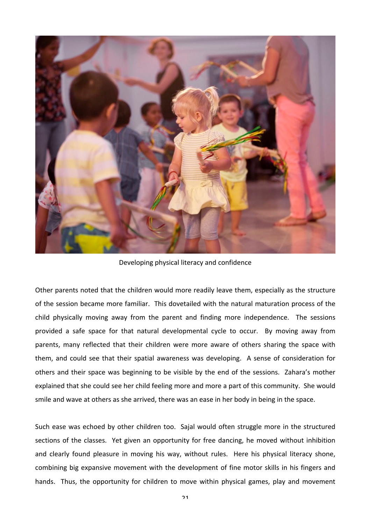

Developing physical literacy and confidence

Other parents noted that the children would more readily leave them, especially as the structure of the session became more familiar. This dovetailed with the natural maturation process of the child physically moving away from the parent and finding more independence. The sessions provided a safe space for that natural developmental cycle to occur. By moving away from parents, many reflected that their children were more aware of others sharing the space with them, and could see that their spatial awareness was developing. A sense of consideration for others and their space was beginning to be visible by the end of the sessions. Zahara's mother explained that she could see her child feeling more and more a part of this community. She would smile and wave at others as she arrived, there was an ease in her body in being in the space.

Such ease was echoed by other children too. Sajal would often struggle more in the structured sections of the classes. Yet given an opportunity for free dancing, he moved without inhibition and clearly found pleasure in moving his way, without rules. Here his physical literacy shone, combining big expansive movement with the development of fine motor skills in his fingers and hands. Thus, the opportunity for children to move within physical games, play and movement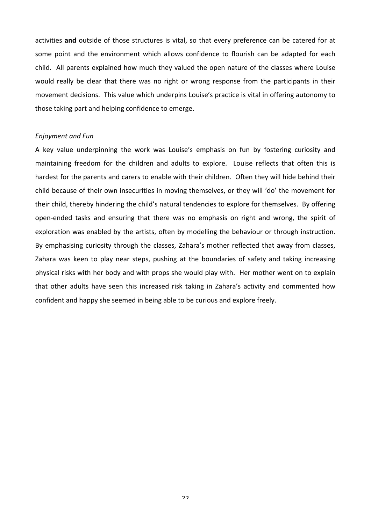activities and outside of those structures is vital, so that every preference can be catered for at some point and the environment which allows confidence to flourish can be adapted for each child. All parents explained how much they valued the open nature of the classes where Louise would really be clear that there was no right or wrong response from the participants in their movement decisions. This value which underpins Louise's practice is vital in offering autonomy to those taking part and helping confidence to emerge.

#### *Enjoyment and Fun*

A key value underpinning the work was Louise's emphasis on fun by fostering curiosity and maintaining freedom for the children and adults to explore. Louise reflects that often this is hardest for the parents and carers to enable with their children. Often they will hide behind their child because of their own insecurities in moving themselves, or they will 'do' the movement for their child, thereby hindering the child's natural tendencies to explore for themselves. By offering open-ended tasks and ensuring that there was no emphasis on right and wrong, the spirit of exploration was enabled by the artists, often by modelling the behaviour or through instruction. By emphasising curiosity through the classes, Zahara's mother reflected that away from classes, Zahara was keen to play near steps, pushing at the boundaries of safety and taking increasing physical risks with her body and with props she would play with. Her mother went on to explain that other adults have seen this increased risk taking in Zahara's activity and commented how confident and happy she seemed in being able to be curious and explore freely.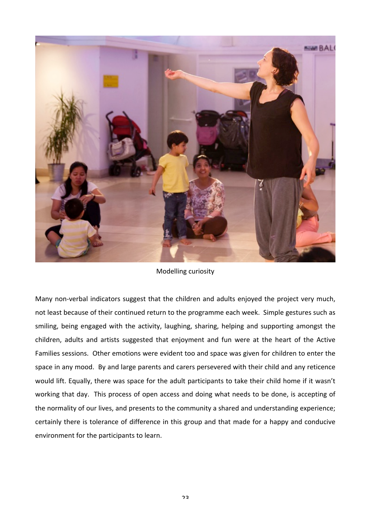

Modelling curiosity

Many non-verbal indicators suggest that the children and adults enjoyed the project very much, not least because of their continued return to the programme each week. Simple gestures such as smiling, being engaged with the activity, laughing, sharing, helping and supporting amongst the children, adults and artists suggested that enjoyment and fun were at the heart of the Active Families sessions. Other emotions were evident too and space was given for children to enter the space in any mood. By and large parents and carers persevered with their child and any reticence would lift. Equally, there was space for the adult participants to take their child home if it wasn't working that day. This process of open access and doing what needs to be done, is accepting of the normality of our lives, and presents to the community a shared and understanding experience; certainly there is tolerance of difference in this group and that made for a happy and conducive environment for the participants to learn.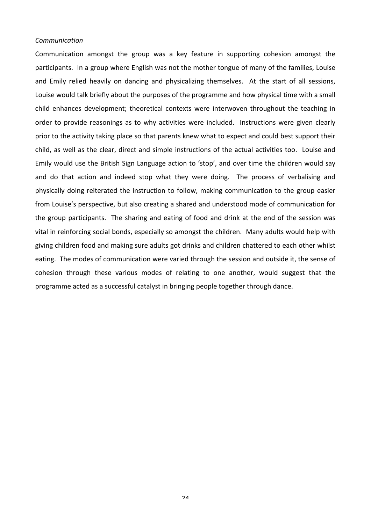#### *Communication*

Communication amongst the group was a key feature in supporting cohesion amongst the participants. In a group where English was not the mother tongue of many of the families, Louise and Emily relied heavily on dancing and physicalizing themselves. At the start of all sessions, Louise would talk briefly about the purposes of the programme and how physical time with a small child enhances development; theoretical contexts were interwoven throughout the teaching in order to provide reasonings as to why activities were included. Instructions were given clearly prior to the activity taking place so that parents knew what to expect and could best support their child, as well as the clear, direct and simple instructions of the actual activities too. Louise and Emily would use the British Sign Language action to 'stop', and over time the children would say and do that action and indeed stop what they were doing. The process of verbalising and physically doing reiterated the instruction to follow, making communication to the group easier from Louise's perspective, but also creating a shared and understood mode of communication for the group participants. The sharing and eating of food and drink at the end of the session was vital in reinforcing social bonds, especially so amongst the children. Many adults would help with giving children food and making sure adults got drinks and children chattered to each other whilst eating. The modes of communication were varied through the session and outside it, the sense of cohesion through these various modes of relating to one another, would suggest that the programme acted as a successful catalyst in bringing people together through dance.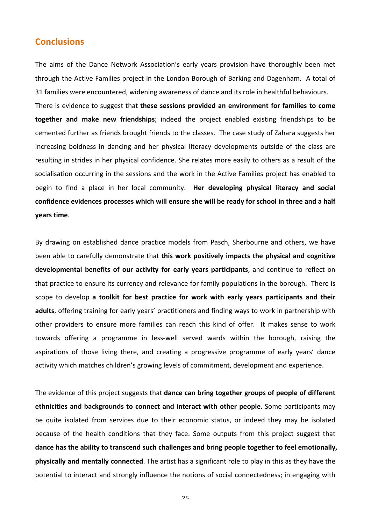# **Conclusions**

The aims of the Dance Network Association's early years provision have thoroughly been met through the Active Families project in the London Borough of Barking and Dagenham. A total of 31 families were encountered, widening awareness of dance and its role in healthful behaviours.

There is evidence to suggest that these sessions provided an environment for families to come **together and make new friendships**; indeed the project enabled existing friendships to be cemented further as friends brought friends to the classes. The case study of Zahara suggests her increasing boldness in dancing and her physical literacy developments outside of the class are resulting in strides in her physical confidence. She relates more easily to others as a result of the socialisation occurring in the sessions and the work in the Active Families project has enabled to begin to find a place in her local community. Her developing physical literacy and social confidence evidences processes which will ensure she will be ready for school in three and a half **years time**. 

By drawing on established dance practice models from Pasch, Sherbourne and others, we have been able to carefully demonstrate that **this work positively impacts the physical and cognitive** developmental benefits of our activity for early years participants, and continue to reflect on that practice to ensure its currency and relevance for family populations in the borough. There is scope to develop a toolkit for best practice for work with early years participants and their adults, offering training for early years' practitioners and finding ways to work in partnership with other providers to ensure more families can reach this kind of offer. It makes sense to work towards offering a programme in less-well served wards within the borough, raising the aspirations of those living there, and creating a progressive programme of early years' dance activity which matches children's growing levels of commitment, development and experience.

The evidence of this project suggests that **dance can bring together groups of people of different ethnicities and backgrounds to connect and interact with other people**. Some participants may be quite isolated from services due to their economic status, or indeed they may be isolated because of the health conditions that they face. Some outputs from this project suggest that dance has the ability to transcend such challenges and bring people together to feel emotionally, **physically and mentally connected**. The artist has a significant role to play in this as they have the potential to interact and strongly influence the notions of social connectedness; in engaging with

つに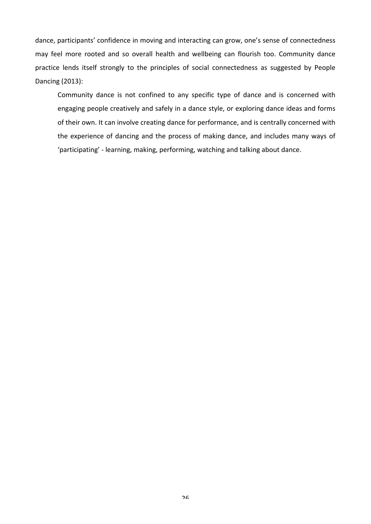dance, participants' confidence in moving and interacting can grow, one's sense of connectedness may feel more rooted and so overall health and wellbeing can flourish too. Community dance practice lends itself strongly to the principles of social connectedness as suggested by People Dancing (2013): 

Community dance is not confined to any specific type of dance and is concerned with engaging people creatively and safely in a dance style, or exploring dance ideas and forms of their own. It can involve creating dance for performance, and is centrally concerned with the experience of dancing and the process of making dance, and includes many ways of 'participating' - learning, making, performing, watching and talking about dance.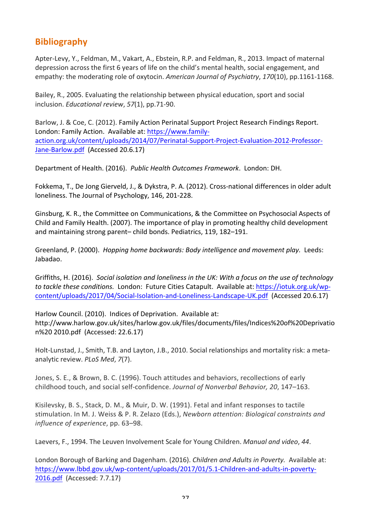# **Bibliography**

Apter-Levy, Y., Feldman, M., Vakart, A., Ebstein, R.P. and Feldman, R., 2013. Impact of maternal depression across the first 6 years of life on the child's mental health, social engagement, and empathy: the moderating role of oxytocin. American Journal of Psychiatry, 170(10), pp.1161-1168.

Bailey, R., 2005. Evaluating the relationship between physical education, sport and social inclusion. *Educational review*, 57(1), pp.71-90.

Barlow, J. & Coe, C. (2012). Family Action Perinatal Support Project Research Findings Report. London: Family Action. Available at: https://www.familyaction.org.uk/content/uploads/2014/07/Perinatal-Support-Project-Evaluation-2012-Professor-Jane-Barlow.pdf (Accessed 20.6.17)

Department of Health. (2016). *Public Health Outcomes Framework*. London: DH.

Fokkema, T., De Jong Gierveld, J., & Dykstra, P. A. (2012). Cross-national differences in older adult loneliness. The Journal of Psychology, 146, 201-228.

Ginsburg, K. R., the Committee on Communications, & the Committee on Psychosocial Aspects of Child and Family Health. (2007). The importance of play in promoting healthy child development and maintaining strong parent– child bonds. Pediatrics, 119, 182–191.

Greenland, P. (2000). *Hopping home backwards: Body intelligence and movement play.* Leeds: Jabadao.

Griffiths, H. (2016). Social isolation and loneliness in the UK: With a focus on the use of technology to tackle these conditions. London: Future Cities Catapult. Available at: https://iotuk.org.uk/wpcontent/uploads/2017/04/Social-Isolation-and-Loneliness-Landscape-UK.pdf (Accessed 20.6.17)

Harlow Council. (2010). Indices of Deprivation. Available at: http://www.harlow.gov.uk/sites/harlow.gov.uk/files/documents/files/Indices%20of%20Deprivatio n%20 2010.pdf (Accessed: 22.6.17)

Holt-Lunstad, J., Smith, T.B. and Layton, J.B., 2010. Social relationships and mortality risk: a metaanalytic review. *PLoS Med*, 7(7).

Jones, S. E., & Brown, B. C. (1996). Touch attitudes and behaviors, recollections of early childhood touch, and social self-confidence. *Journal of Nonverbal Behavior*, 20, 147-163.

Kisilevsky, B. S., Stack, D. M., & Muir, D. W. (1991). Fetal and infant responses to tactile stimulation. In M. J. Weiss & P. R. Zelazo (Eds.), *Newborn attention: Biological constraints and influence of experience*, pp. 63-98.

Laevers, F., 1994. The Leuven Involvement Scale for Young Children. *Manual and video*, 44.

London Borough of Barking and Dagenham. (2016). *Children and Adults in Poverty.* Available at: https://www.lbbd.gov.uk/wp-content/uploads/2017/01/5.1-Children-and-adults-in-poverty-2016.pdf (Accessed: 7.7.17)